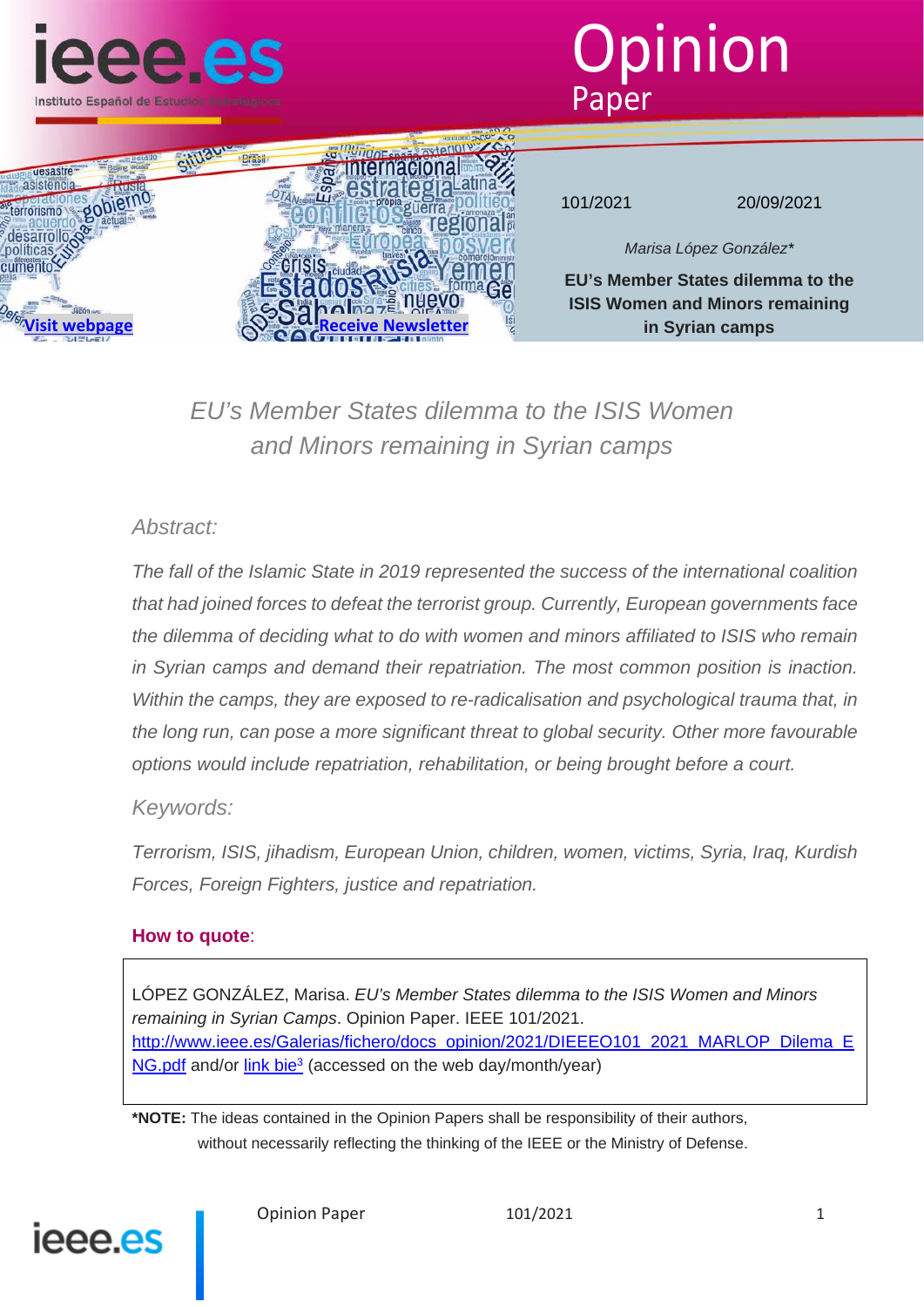





101/2021 20/09/2021

*Marisa López González\**

**EU's Member States dilemma to the ISIS Women and Minors remaining in Syrian camps**

*EU's Member States dilemma to the ISIS Women and Minors remaining in Syrian camps*

# *Abstract:*

*The fall of the Islamic State in 2019 represented the success of the international coalition that had joined forces to defeat the terrorist group. Currently, European governments face the dilemma of deciding what to do with women and minors affiliated to ISIS who remain in Syrian camps and demand their repatriation. The most common position is inaction. Within the camps, they are exposed to re-radicalisation and psychological trauma that, in the long run, can pose a more significant threat to global security. Other more favourable options would include repatriation, rehabilitation, or being brought before a court.*

# *Keywords:*

*Terrorism, ISIS, jihadism, European Union, children, women, victims, Syria, Iraq, Kurdish Forces, Foreign Fighters, justice and repatriation.*

# **How to quote**:

LÓPEZ GONZÁLEZ, Marisa. *EU's Member States dilemma to the ISIS Women and Minors remaining in Syrian Camps*. Opinion Paper. IEEE 101/2021. http://www.ieee.es/Galerias/fichero/docs\_opinion/2021/DIEEEO101\_2021\_MARLOP\_Dilema\_E NG.pdf and/or link bie<sup>3</sup> (accessed on the web day/month/year)

**\*NOTE:** The ideas contained in the Opinion Papers shall be responsibility of their authors, without necessarily reflecting the thinking of the IEEE or the Ministry of Defense.



Opinion Paper 101/2021 1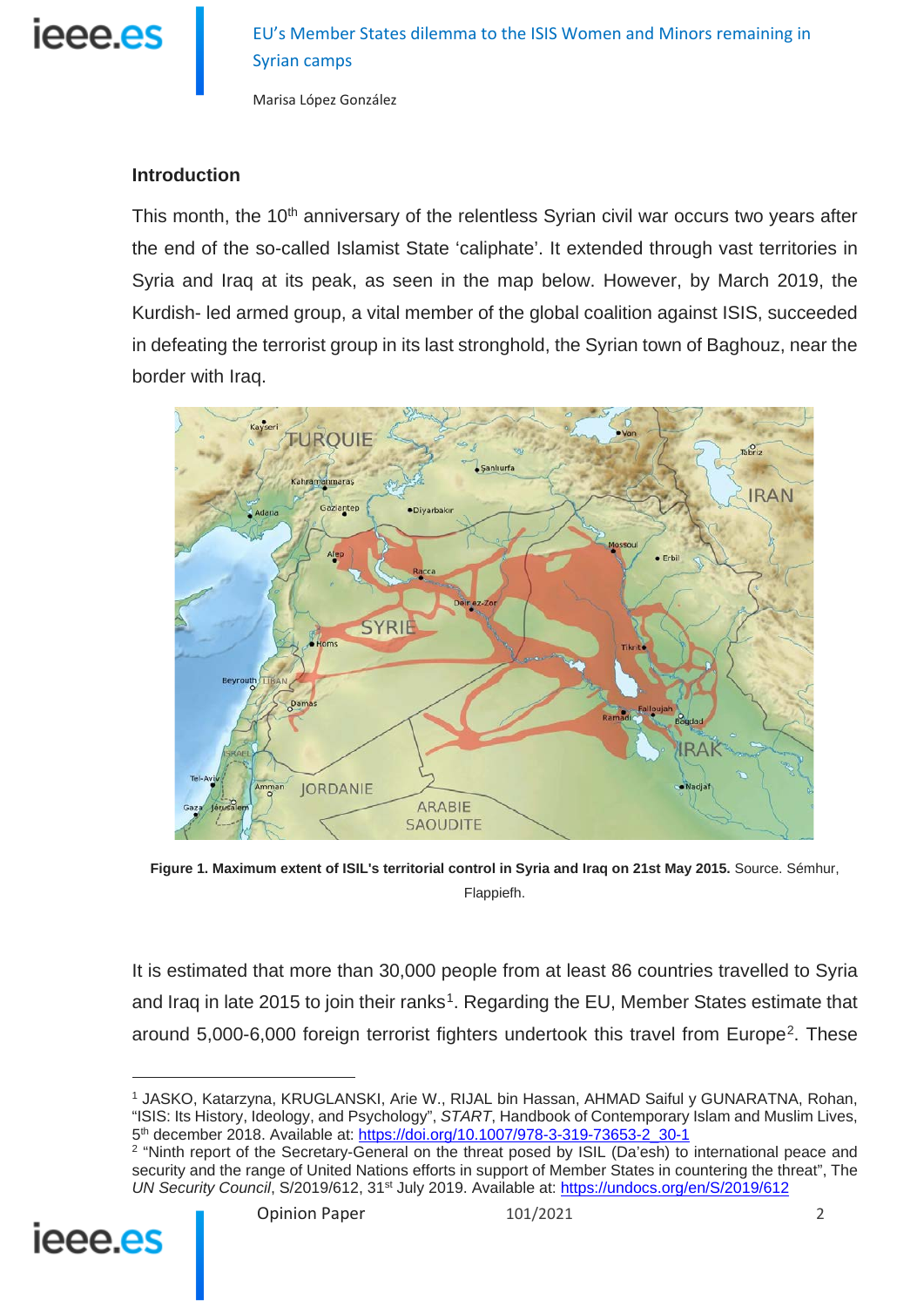

Marisa López González

#### **Introduction**

This month, the 10<sup>th</sup> anniversary of the relentless Syrian civil war occurs two vears after the end of the so-called Islamist State 'caliphate'. It extended through vast territories in Syria and Iraq at its peak, as seen in the map below. However, by March 2019, the Kurdish- led armed group, a vital member of the global coalition against ISIS, succeeded in defeating the terrorist group in its last stronghold, the Syrian town of Baghouz, near the border with Iraq.



**Figure 1. Maximum extent of ISIL's territorial control in Syria and Iraq on 21st May 2015.** Source. Sémhur, Flappiefh.

It is estimated that more than 30,000 people from at least 86 countries travelled to Syria and Iraq in late 20[1](#page-1-0)5 to join their ranks<sup>1</sup>. Regarding the EU, Member States estimate that around 5,000-6,000 foreign terrorist fighters undertook this travel from Europe<sup>2</sup>. These

<span id="page-1-1"></span><span id="page-1-0"></span><sup>&</sup>lt;sup>2</sup> "Ninth report of the Secretary-General on the threat posed by ISIL (Da'esh) to international peace and security and the range of United Nations efforts in support of Member States in countering the threat", The *UN Security Council, S/2019/612, 31<sup>st</sup> July 2019. Available at:<https://undocs.org/en/S/2019/612>* 



<sup>1</sup> JASKO, Katarzyna, KRUGLANSKI, Arie W., RIJAL bin Hassan, AHMAD Saiful y GUNARATNA, Rohan, "ISIS: Its History, Ideology, and Psychology", *START*, Handbook of Contemporary Islam and Muslim Lives, 5<sup>th</sup> december 2018. Available at: [https://doi.org/10.1007/978-3-319-73653-2\\_30-1](https://doi.org/10.1007/978-3-319-73653-2_30-1)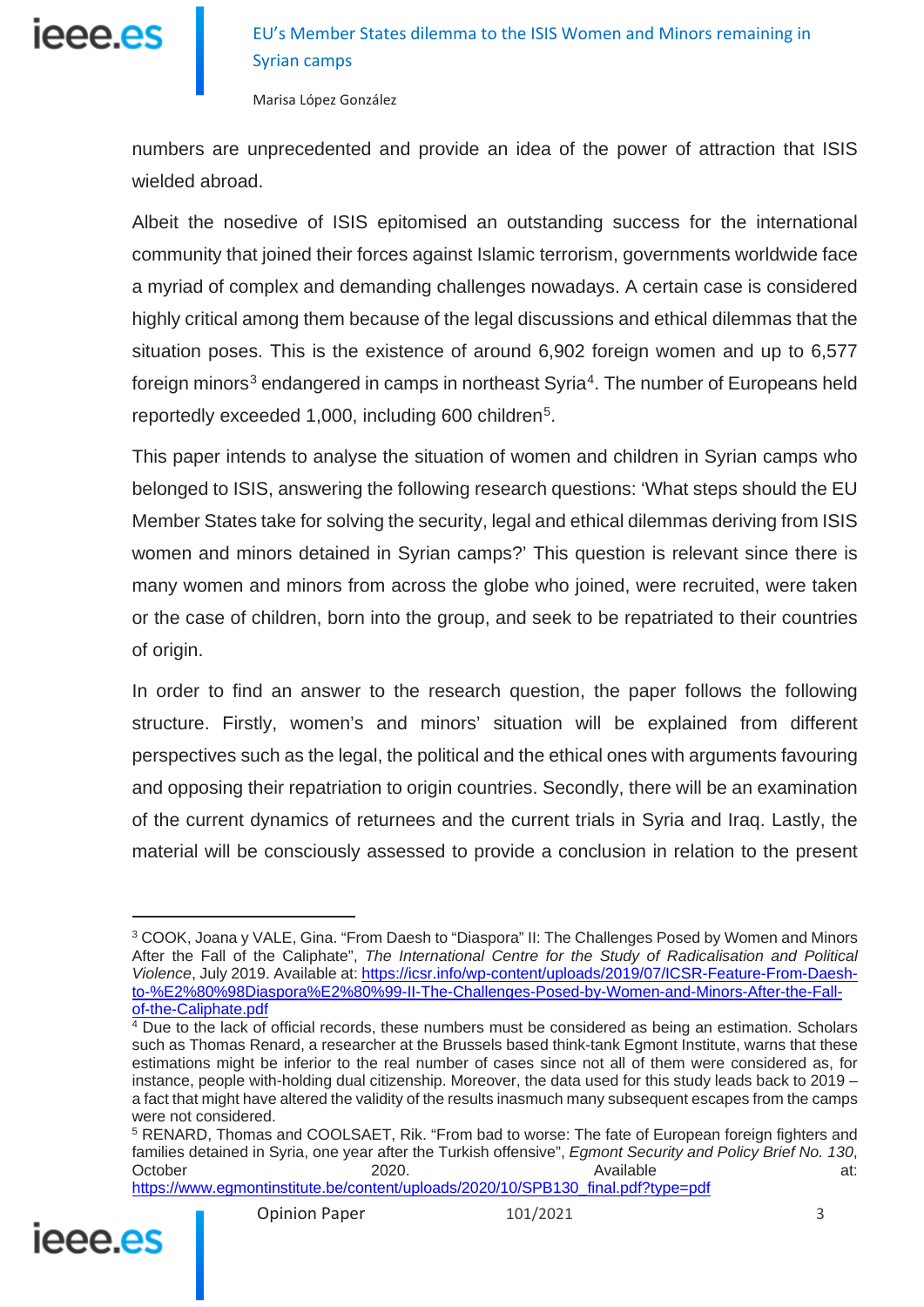

numbers are unprecedented and provide an idea of the power of attraction that ISIS wielded abroad.

Albeit the nosedive of ISIS epitomised an outstanding success for the international community that joined their forces against Islamic terrorism, governments worldwide face a myriad of complex and demanding challenges nowadays. A certain case is considered highly critical among them because of the legal discussions and ethical dilemmas that the situation poses. This is the existence of around 6,902 foreign women and up to 6,577 foreign minors<sup>[3](#page-2-0)</sup> endangered in camps in northeast Syria<sup>[4](#page-2-1)</sup>. The number of Europeans held reportedly exceeded 1,000, including 600 children<sup>5</sup>.

This paper intends to analyse the situation of women and children in Syrian camps who belonged to ISIS, answering the following research questions: 'What steps should the EU Member States take for solving the security, legal and ethical dilemmas deriving from ISIS women and minors detained in Syrian camps?' This question is relevant since there is many women and minors from across the globe who joined, were recruited, were taken or the case of children, born into the group, and seek to be repatriated to their countries of origin.

In order to find an answer to the research question, the paper follows the following structure. Firstly, women's and minors' situation will be explained from different perspectives such as the legal, the political and the ethical ones with arguments favouring and opposing their repatriation to origin countries. Secondly, there will be an examination of the current dynamics of returnees and the current trials in Syria and Iraq. Lastly, the material will be consciously assessed to provide a conclusion in relation to the present

[https://www.egmontinstitute.be/content/uploads/2020/10/SPB130\\_final.pdf?type=pdf](https://www.egmontinstitute.be/content/uploads/2020/10/SPB130_final.pdf?type=pdf)

<span id="page-2-2"></span>

<span id="page-2-0"></span><sup>&</sup>lt;sup>3</sup> COOK, Joana y VALE, Gina. "From Daesh to "Diaspora" II: The Challenges Posed by Women and Minors After the Fall of the Caliphate", *The International Centre for the Study of Radicalisation and Political Violence*, July 2019. Available at: [https://icsr.info/wp-content/uploads/2019/07/ICSR-Feature-From-Daesh](https://icsr.info/wp-content/uploads/2019/07/ICSR-Feature-From-Daesh-to-%E2%80%98Diaspora%E2%80%99-II-The-Challenges-Posed-by-Women-and-Minors-After-the-Fall-of-the-Caliphate.pdf)[to-%E2%80%98Diaspora%E2%80%99-II-The-Challenges-Posed-by-Women-and-Minors-After-the-Fall](https://icsr.info/wp-content/uploads/2019/07/ICSR-Feature-From-Daesh-to-%E2%80%98Diaspora%E2%80%99-II-The-Challenges-Posed-by-Women-and-Minors-After-the-Fall-of-the-Caliphate.pdf)[of-the-Caliphate.pdf](https://icsr.info/wp-content/uploads/2019/07/ICSR-Feature-From-Daesh-to-%E2%80%98Diaspora%E2%80%99-II-The-Challenges-Posed-by-Women-and-Minors-After-the-Fall-of-the-Caliphate.pdf)

<span id="page-2-1"></span><sup>4</sup> Due to the lack of official records, these numbers must be considered as being an estimation. Scholars such as Thomas Renard, a researcher at the Brussels based think-tank Egmont Institute, warns that these estimations might be inferior to the real number of cases since not all of them were considered as, for instance, people with-holding dual citizenship. Moreover, the data used for this study leads back to 2019 – a fact that might have altered the validity of the results inasmuch many subsequent escapes from the camps were not considered.

<sup>5</sup> RENARD, Thomas and COOLSAET, Rik. "From bad to worse: The fate of European foreign fighters and families detained in Syria, one year after the Turkish offensive", *Egmont Security and Policy Brief No. 130*, October 2020. **2020.** Available at: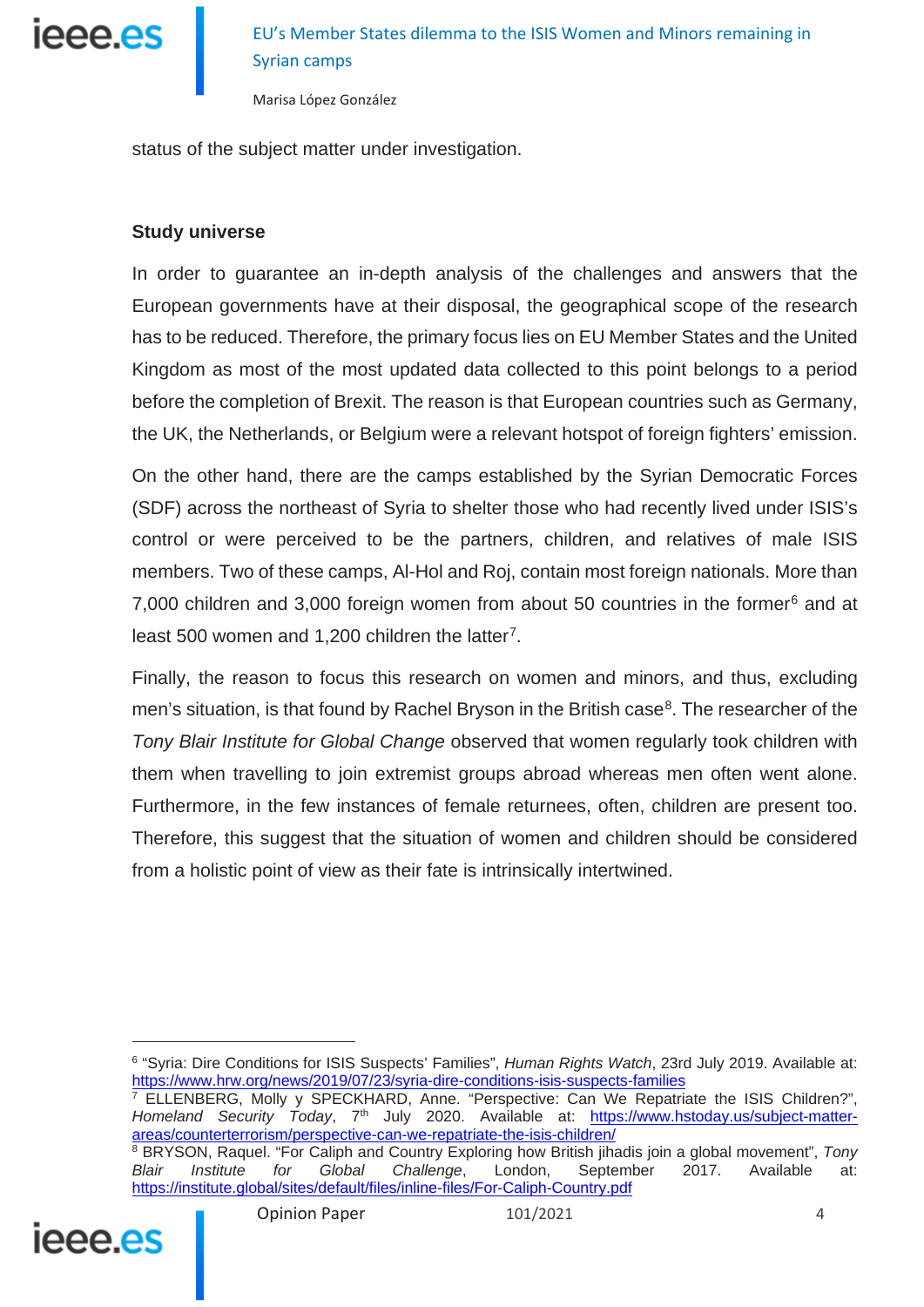

status of the subject matter under investigation.

#### **Study universe**

In order to guarantee an in-depth analysis of the challenges and answers that the European governments have at their disposal, the geographical scope of the research has to be reduced. Therefore, the primary focus lies on EU Member States and the United Kingdom as most of the most updated data collected to this point belongs to a period before the completion of Brexit. The reason is that European countries such as Germany, the UK, the Netherlands, or Belgium were a relevant hotspot of foreign fighters' emission.

On the other hand, there are the camps established by the Syrian Democratic Forces (SDF) across the northeast of Syria to shelter those who had recently lived under ISIS's control or were perceived to be the partners, children, and relatives of male ISIS members. Two of these camps, Al-Hol and Roj, contain most foreign nationals. More than 7,000 children and 3,000 foreign women from about 50 countries in the former $6$  and at least 500 women and 1,200 children the latter<sup>7</sup>.

Finally, the reason to focus this research on women and minors, and thus, excluding men's situation, is that found by Rachel Bryson in the British case $8$ . The researcher of the *Tony Blair Institute for Global Change* observed that women regularly took children with them when travelling to join extremist groups abroad whereas men often went alone. Furthermore, in the few instances of female returnees, often, children are present too. Therefore, this suggest that the situation of women and children should be considered from a holistic point of view as their fate is intrinsically intertwined.

<span id="page-3-2"></span><span id="page-3-1"></span><span id="page-3-0"></span><sup>&</sup>lt;sup>8</sup> BRYSON, Raquel. "For Caliph and Country Exploring how British jihadis join a global movement", *Tony Blair Institute for Global Challenge*, London, September 2017. Available at: *Blair Institute for Global Challenge*, London, September 2017. Available at: <https://institute.global/sites/default/files/inline-files/For-Caliph-Country.pdf>



<sup>6</sup> "Syria: Dire Conditions for ISIS Suspects' Families", *Human Rights Watch*, 23rd July 2019. Available at: <https://www.hrw.org/news/2019/07/23/syria-dire-conditions-isis-suspects-families>

 $7$  ELLENBERG, Molly y SPECKHARD, Anne. "Perspective: Can We Repatriate the ISIS Children?", Homeland Security Today, 7<sup>th</sup> July 2020. Available at: [https://www.hstoday.us/subject-matter](https://www.hstoday.us/subject-matter-areas/counterterrorism/perspective-can-we-repatriate-the-isis-children/)[areas/counterterrorism/perspective-can-we-repatriate-the-isis-children/](https://www.hstoday.us/subject-matter-areas/counterterrorism/perspective-can-we-repatriate-the-isis-children/)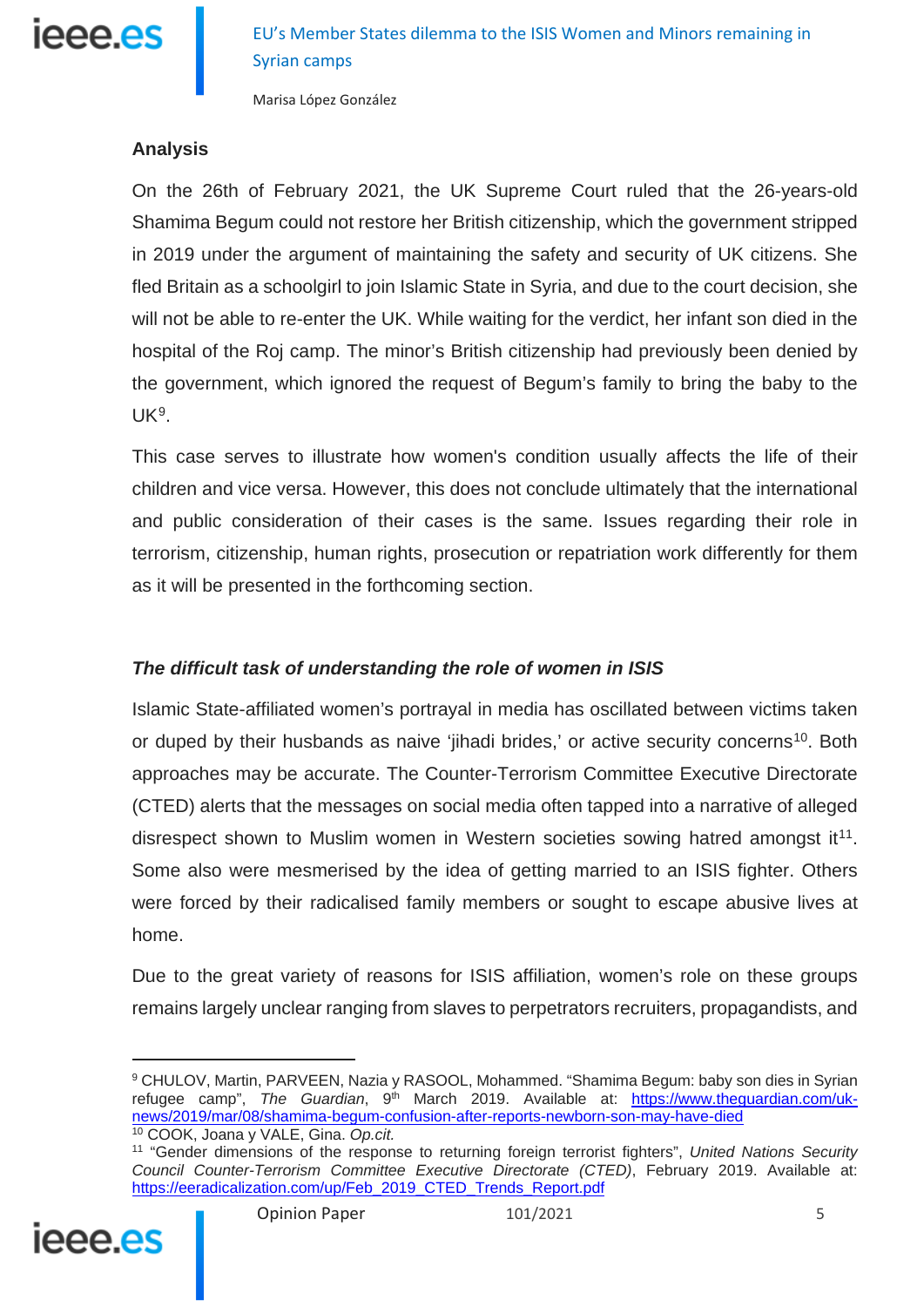

#### **Analysis**

On the 26th of February 2021, the UK Supreme Court ruled that the 26-years-old Shamima Begum could not restore her British citizenship, which the government stripped in 2019 under the argument of maintaining the safety and security of UK citizens. She fled Britain as a schoolgirl to join Islamic State in Syria, and due to the court decision, she will not be able to re-enter the UK. While waiting for the verdict, her infant son died in the hospital of the Roj camp. The minor's British citizenship had previously been denied by the government, which ignored the request of Begum's family to bring the baby to the  $UK<sup>9</sup>$ .

This case serves to illustrate how women's condition usually affects the life of their children and vice versa. However, this does not conclude ultimately that the international and public consideration of their cases is the same. Issues regarding their role in terrorism, citizenship, human rights, prosecution or repatriation work differently for them as it will be presented in the forthcoming section.

#### *The difficult task of understanding the role of women in ISIS*

Islamic State-affiliated women's portrayal in media has oscillated between victims taken or duped by their husbands as naive 'iihadi brides,' or active security concerns<sup>[10](#page-4-1)</sup>. Both approaches may be accurate. The Counter-Terrorism Committee Executive Directorate (CTED) alerts that the messages on social media often tapped into a narrative of alleged disrespect shown to Muslim women in Western societies sowing hatred amongst it<sup>11</sup>. Some also were mesmerised by the idea of getting married to an ISIS fighter. Others were forced by their radicalised family members or sought to escape abusive lives at home.

Due to the great variety of reasons for ISIS affiliation, women's role on these groups remains largely unclear ranging from slaves to perpetrators recruiters, propagandists, and

<span id="page-4-2"></span><span id="page-4-1"></span><span id="page-4-0"></span><sup>11</sup> "Gender dimensions of the response to returning foreign terrorist fighters", *United Nations Security Council Counter-Terrorism Committee Executive Directorate (CTED)*, February 2019. Available at: [https://eeradicalization.com/up/Feb\\_2019\\_CTED\\_Trends\\_Report.pdf](https://eeradicalization.com/up/Feb_2019_CTED_Trends_Report.pdf)



<sup>9</sup> CHULOV, Martin, PARVEEN, Nazia y RASOOL, Mohammed. "Shamima Begum: baby son dies in Syrian refugee camp", The Guardian, 9<sup>th</sup> March 2019. Available at: [https://www.theguardian.com/uk](https://www.theguardian.com/uk-news/2019/mar/08/shamima-begum-confusion-after-reports-newborn-son-may-have-died)[news/2019/mar/08/shamima-begum-confusion-after-reports-newborn-son-may-have-died](https://www.theguardian.com/uk-news/2019/mar/08/shamima-begum-confusion-after-reports-newborn-son-may-have-died) <sup>10</sup> COOK, Joana y VALE, Gina. *Op.cit.*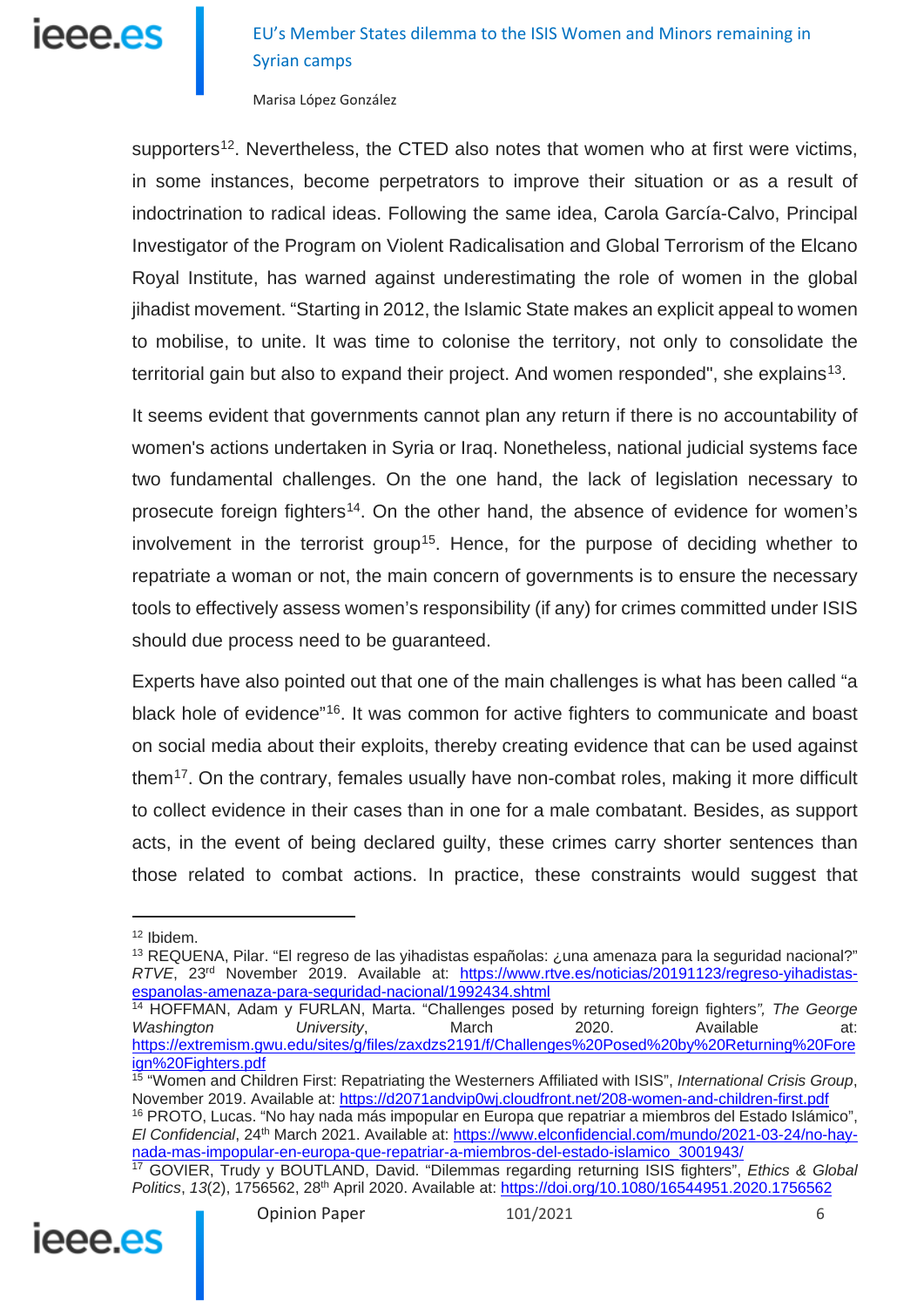# leee.es

# EU's Member States dilemma to the ISIS Women and Minors remaining in Syrian camps

Marisa López González

supporters<sup>[12](#page-5-0)</sup>. Nevertheless, the CTED also notes that women who at first were victims, in some instances, become perpetrators to improve their situation or as a result of indoctrination to radical ideas. Following the same idea, Carola García-Calvo, Principal Investigator of the Program on Violent Radicalisation and Global Terrorism of the Elcano Royal Institute, has warned against underestimating the role of women in the global jihadist movement. "Starting in 2012, the Islamic State makes an explicit appeal to women to mobilise, to unite. It was time to colonise the territory, not only to consolidate the territorial gain but also to expand their project. And women responded", she explains<sup>[13](#page-5-1)</sup>.

It seems evident that governments cannot plan any return if there is no accountability of women's actions undertaken in Syria or Iraq. Nonetheless, national judicial systems face two fundamental challenges. On the one hand, the lack of legislation necessary to prosecute foreign fighters<sup>[14](#page-5-2)</sup>. On the other hand, the absence of evidence for women's involvement in the terrorist group<sup>15</sup>. Hence, for the purpose of deciding whether to repatriate a woman or not, the main concern of governments is to ensure the necessary tools to effectively assess women's responsibility (if any) for crimes committed under ISIS should due process need to be guaranteed.

Experts have also pointed out that one of the main challenges is what has been called "a black hole of evidence<sup>"[16](#page-5-4)</sup>. It was common for active fighters to communicate and boast on social media about their exploits, thereby creating evidence that can be used against them<sup>[17](#page-5-5)</sup>. On the contrary, females usually have non-combat roles, making it more difficult to collect evidence in their cases than in one for a male combatant. Besides, as support acts, in the event of being declared guilty, these crimes carry shorter sentences than those related to combat actions. In practice, these constraints would suggest that

 $\overline{a}$ 

<span id="page-5-3"></span><sup>15</sup> "Women and Children First: Repatriating the Westerners Affiliated with ISIS", *International Crisis Group*, November 2019. Available at: <https://d2071andvip0wj.cloudfront.net/208-women-and-children-first.pdf> <sup>16</sup> PROTO, Lucas. "No hay nada más impopular en Europa que repatriar a miembros del Estado Islámico", *El Confidencial*, 24th March 2021. Available at: [https://www.elconfidencial.com/mundo/2021-03-24/no-hay](https://www.elconfidencial.com/mundo/2021-03-24/no-hay-nada-mas-impopular-en-europa-que-repatriar-a-miembros-del-estado-islamico_3001943/)[nada-mas-impopular-en-europa-que-repatriar-a-miembros-del-estado-islamico\\_3001943/](https://www.elconfidencial.com/mundo/2021-03-24/no-hay-nada-mas-impopular-en-europa-que-repatriar-a-miembros-del-estado-islamico_3001943/) <sup>17</sup> GOVIER, Trudy y BOUTLAND, David. "Dilemmas regarding returning ISIS fighters", *Ethics & Global Politics*, *13*(2), 1756562, 28th April 2020. Available at:<https://doi.org/10.1080/16544951.2020.1756562>

<span id="page-5-5"></span><span id="page-5-4"></span>

<sup>12</sup> Ibidem.

<span id="page-5-1"></span><span id="page-5-0"></span><sup>&</sup>lt;sup>13</sup> REQUENA, Pilar. "El regreso de las yihadistas españolas: ¿una amenaza para la seguridad nacional?" *RTVE*, 23rd November 2019. Available at: [https://www.rtve.es/noticias/20191123/regreso-yihadistas](https://www.rtve.es/noticias/20191123/regreso-yihadistas-espanolas-amenaza-para-seguridad-nacional/1992434.shtml)[espanolas-amenaza-para-seguridad-nacional/1992434.shtml](https://www.rtve.es/noticias/20191123/regreso-yihadistas-espanolas-amenaza-para-seguridad-nacional/1992434.shtml)

<span id="page-5-2"></span><sup>14</sup> HOFFMAN, Adam y FURLAN, Marta. "Challenges posed by returning foreign fighters*", The George*  Washington **University, March 2020.** Available at: [https://extremism.gwu.edu/sites/g/files/zaxdzs2191/f/Challenges%20Posed%20by%20Returning%20Fore](https://extremism.gwu.edu/sites/g/files/zaxdzs2191/f/Challenges%20Posed%20by%20Returning%20Foreign%20Fighters.pdf) [ign%20Fighters.pdf](https://extremism.gwu.edu/sites/g/files/zaxdzs2191/f/Challenges%20Posed%20by%20Returning%20Foreign%20Fighters.pdf)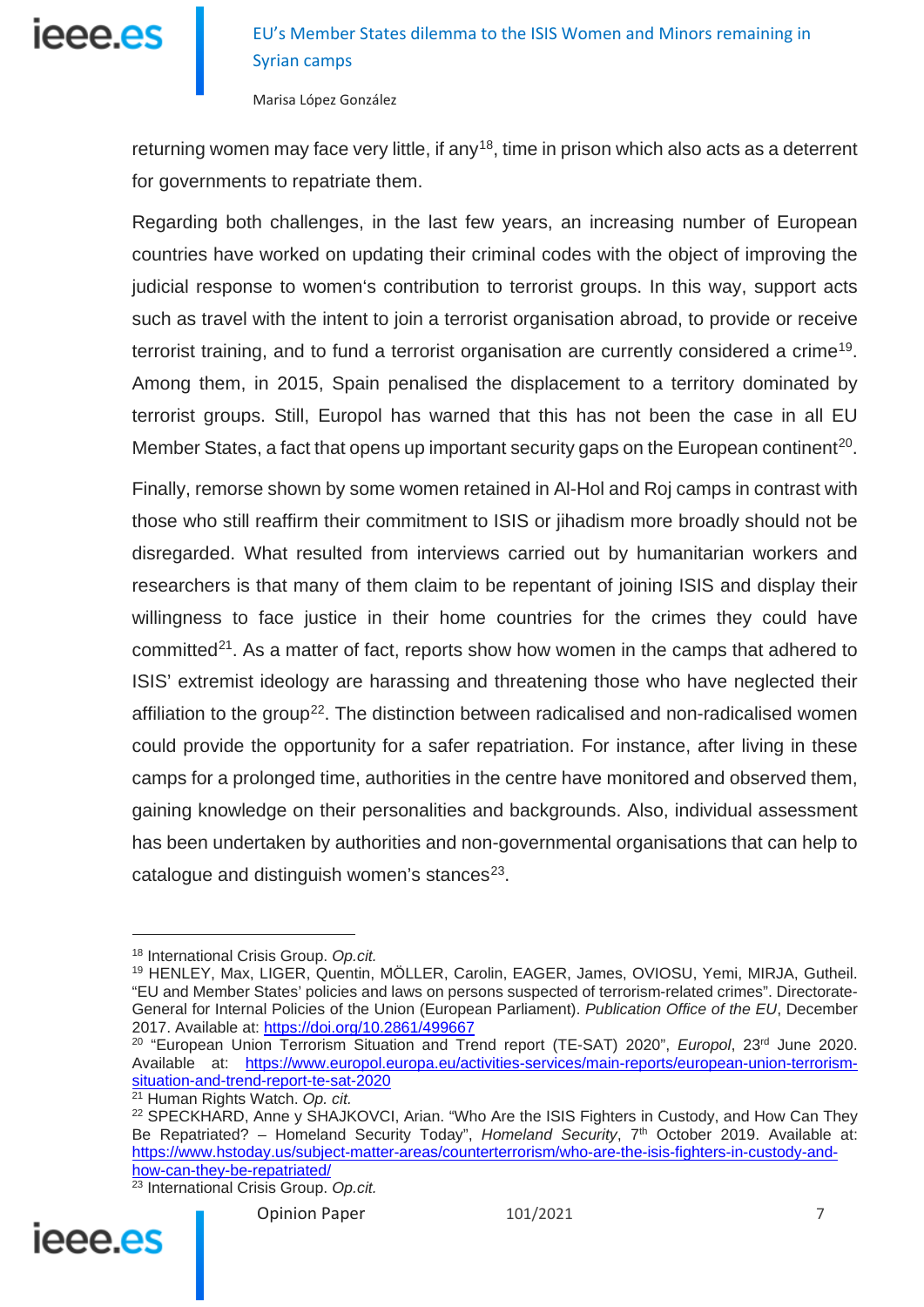

returning women may face very little, if any<sup>18</sup>, time in prison which also acts as a deterrent for governments to repatriate them.

Regarding both challenges, in the last few years, an increasing number of European countries have worked on updating their criminal codes with the object of improving the judicial response to women's contribution to terrorist groups. In this way, support acts such as travel with the intent to join a terrorist organisation abroad, to provide or receive terrorist training, and to fund a terrorist organisation are currently considered a crime<sup>[19](#page-6-1)</sup>. Among them, in 2015, Spain penalised the displacement to a territory dominated by terrorist groups. Still, Europol has warned that this has not been the case in all EU Member States, a fact that opens up important security gaps on the European continent<sup>[20](#page-6-2)</sup>.

Finally, remorse shown by some women retained in Al-Hol and Roj camps in contrast with those who still reaffirm their commitment to ISIS or jihadism more broadly should not be disregarded. What resulted from interviews carried out by humanitarian workers and researchers is that many of them claim to be repentant of joining ISIS and display their willingness to face justice in their home countries for the crimes they could have committed $21$ . As a matter of fact, reports show how women in the camps that adhered to ISIS' extremist ideology are harassing and threatening those who have neglected their affiliation to the group<sup>[22](#page-6-4)</sup>. The distinction between radicalised and non-radicalised women could provide the opportunity for a safer repatriation. For instance, after living in these camps for a prolonged time, authorities in the centre have monitored and observed them, gaining knowledge on their personalities and backgrounds. Also, individual assessment has been undertaken by authorities and non-governmental organisations that can help to catalogue and distinguish women's stances $23$ .

<span id="page-6-5"></span><span id="page-6-4"></span><span id="page-6-3"></span><sup>23</sup> International Crisis Group. *Op.cit.*



<span id="page-6-0"></span><sup>18</sup> International Crisis Group. *Op.cit.*

<span id="page-6-1"></span><sup>19</sup> HENLEY, Max, LIGER, Quentin, MÖLLER, Carolin, EAGER, James, OVIOSU, Yemi, MIRJA, Gutheil. "EU and Member States' policies and laws on persons suspected of terrorism-related crimes". Directorate-General for Internal Policies of the Union (European Parliament). *Publication Office of the EU*, December 2017. Available at: <https://doi.org/10.2861/499667>

<span id="page-6-2"></span><sup>&</sup>lt;sup>20</sup> "European Union Terrorism Situation and Trend report (TE-SAT) 2020", *Europol*, 23<sup>rd</sup> June 2020. Available at: [https://www.europol.europa.eu/activities-services/main-reports/european-union-terrorism](https://www.europol.europa.eu/activities-services/main-reports/european-union-terrorism-situation-and-trend-report-te-sat-2020)[situation-and-trend-report-te-sat-2020](https://www.europol.europa.eu/activities-services/main-reports/european-union-terrorism-situation-and-trend-report-te-sat-2020)

<sup>21</sup> Human Rights Watch. *Op. cit.*

<sup>&</sup>lt;sup>22</sup> SPECKHARD, Anne y SHAJKOVCI, Arian. "Who Are the ISIS Fighters in Custody, and How Can They Be Repatriated? - Homeland Security Today", *Homeland Security*, 7<sup>th</sup> October 2019. Available at: [https://www.hstoday.us/subject-matter-areas/counterterrorism/who-are-the-isis-fighters-in-custody-and](https://www.hstoday.us/subject-matter-areas/counterterrorism/who-are-the-isis-fighters-in-custody-and-how-can-they-be-repatriated/)[how-can-they-be-repatriated/](https://www.hstoday.us/subject-matter-areas/counterterrorism/who-are-the-isis-fighters-in-custody-and-how-can-they-be-repatriated/)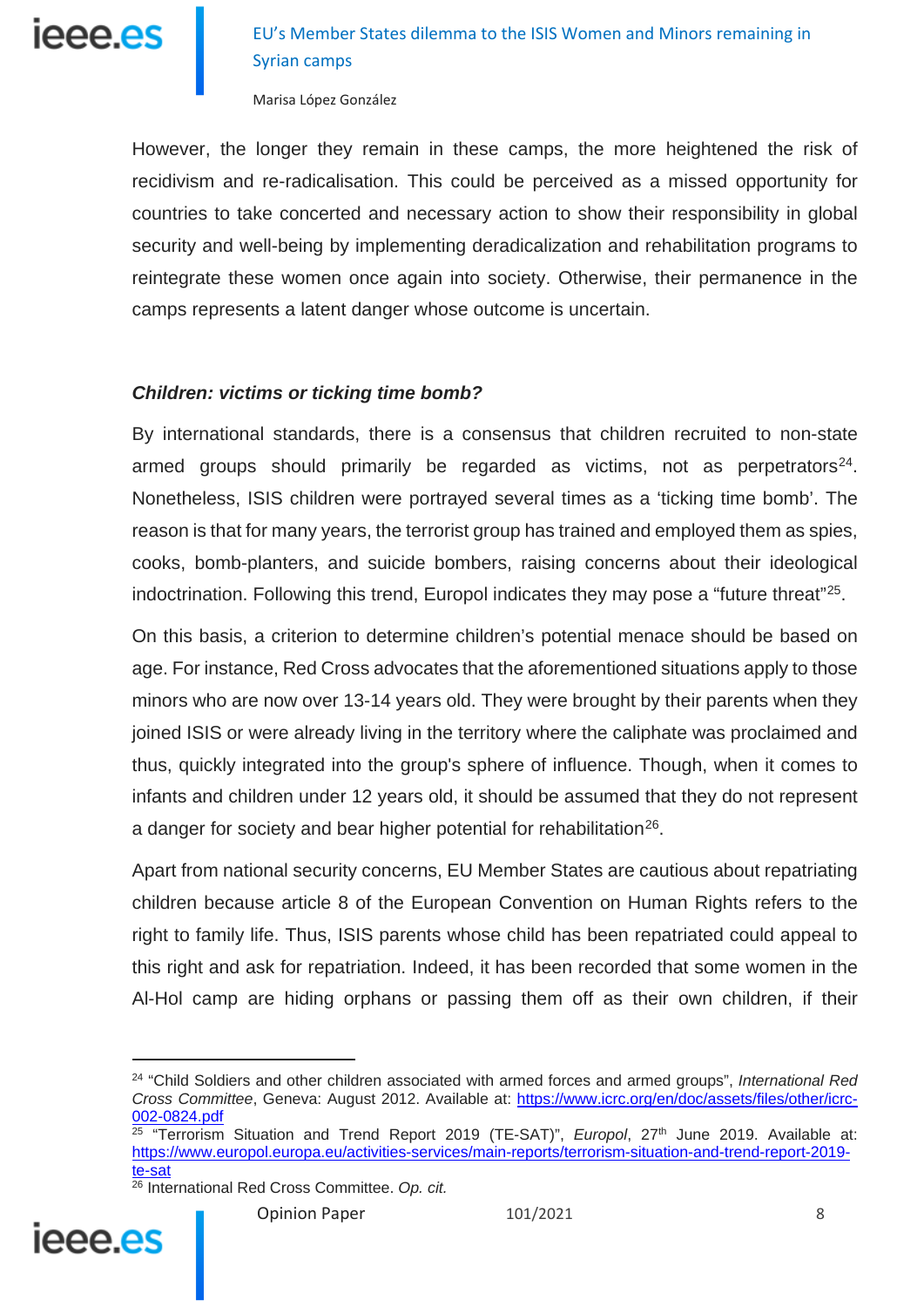

However, the longer they remain in these camps, the more heightened the risk of recidivism and re-radicalisation. This could be perceived as a missed opportunity for countries to take concerted and necessary action to show their responsibility in global security and well-being by implementing deradicalization and rehabilitation programs to reintegrate these women once again into society. Otherwise, their permanence in the camps represents a latent danger whose outcome is uncertain.

#### *Children: victims or ticking time bomb?*

By international standards, there is a consensus that children recruited to non-state armed groups should primarily be regarded as victims, not as perpetrators<sup>24</sup>. Nonetheless, ISIS children were portrayed several times as a 'ticking time bomb'. The reason is that for many years, the terrorist group has trained and employed them as spies, cooks, bomb-planters, and suicide bombers, raising concerns about their ideological indoctrination. Following this trend, Europol indicates they may pose a "future threat"<sup>[25](#page-7-1)</sup>.

On this basis, a criterion to determine children's potential menace should be based on age. For instance, Red Cross advocates that the aforementioned situations apply to those minors who are now over 13-14 years old. They were brought by their parents when they joined ISIS or were already living in the territory where the caliphate was proclaimed and thus, quickly integrated into the group's sphere of influence. Though, when it comes to infants and children under 12 years old, it should be assumed that they do not represent a danger for society and bear higher potential for rehabilitation<sup>26</sup>.

Apart from national security concerns, EU Member States are cautious about repatriating children because article 8 of the European Convention on Human Rights refers to the right to family life. Thus, ISIS parents whose child has been repatriated could appeal to this right and ask for repatriation. Indeed, it has been recorded that some women in the Al-Hol camp are hiding orphans or passing them off as their own children, if their

<span id="page-7-0"></span><sup>24</sup> "Child Soldiers and other children associated with armed forces and armed groups", *International Red Cross Committee*, Geneva: August 2012. Available at: [https://www.icrc.org/en/doc/assets/files/other/icrc-](https://www.icrc.org/en/doc/assets/files/other/icrc-002-0824.pdf)[002-0824.pdf](https://www.icrc.org/en/doc/assets/files/other/icrc-002-0824.pdf)

<span id="page-7-1"></span><sup>&</sup>lt;sup>25</sup> "Terrorism Situation and Trend Report 2019 (TE-SAT)", *Europol*, 27<sup>th</sup> June 2019. Available at: [https://www.europol.europa.eu/activities-services/main-reports/terrorism-situation-and-trend-report-2019](https://www.europol.europa.eu/activities-services/main-reports/terrorism-situation-and-trend-report-2019-te-sat) [te-sat](https://www.europol.europa.eu/activities-services/main-reports/terrorism-situation-and-trend-report-2019-te-sat)

<span id="page-7-2"></span><sup>26</sup> International Red Cross Committee. *Op. cit.*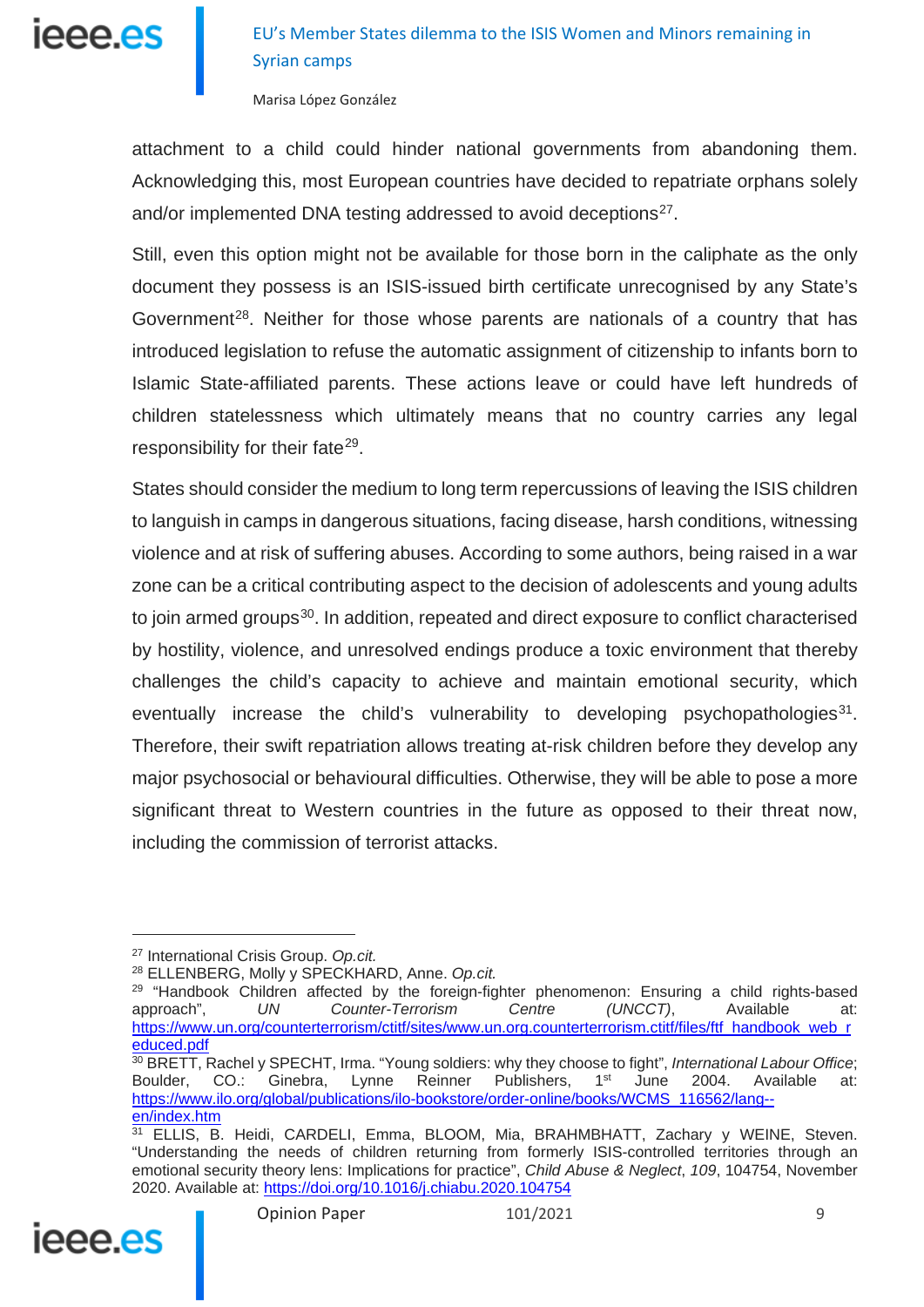

Marisa López González

attachment to a child could hinder national governments from abandoning them. Acknowledging this, most European countries have decided to repatriate orphans solely and/or implemented DNA testing addressed to avoid deceptions<sup>27</sup>.

Still, even this option might not be available for those born in the caliphate as the only document they possess is an ISIS-issued birth certificate unrecognised by any State's Government<sup>[28](#page-8-1)</sup>. Neither for those whose parents are nationals of a country that has introduced legislation to refuse the automatic assignment of citizenship to infants born to Islamic State-affiliated parents. These actions leave or could have left hundreds of children statelessness which ultimately means that no country carries any legal responsibility for their fate<sup>[29](#page-8-2)</sup>.

States should consider the medium to long term repercussions of leaving the ISIS children to languish in camps in dangerous situations, facing disease, harsh conditions, witnessing violence and at risk of suffering abuses. According to some authors, being raised in a war zone can be a critical contributing aspect to the decision of adolescents and young adults to join armed groups<sup>30</sup>. In addition, repeated and direct exposure to conflict characterised by hostility, violence, and unresolved endings produce a toxic environment that thereby challenges the child's capacity to achieve and maintain emotional security, which eventually increase the child's vulnerability to developing psychopathologies $31$ . Therefore, their swift repatriation allows treating at-risk children before they develop any major psychosocial or behavioural difficulties. Otherwise, they will be able to pose a more significant threat to Western countries in the future as opposed to their threat now, including the commission of terrorist attacks.

<sup>28</sup> ELLENBERG, Molly y SPECKHARD, Anne. *Op.cit.*

<span id="page-8-4"></span><span id="page-8-3"></span><sup>&</sup>lt;sup>31</sup> ELLIS, B. Heidi, CARDELI, Emma, BLOOM, Mia, BRAHMBHATT, Zachary y WEINE, Steven. "Understanding the needs of children returning from formerly ISIS-controlled territories through an emotional security theory lens: Implications for practice", *Child Abuse & Neglect*, *109*, 104754, November 2020. Available at: <https://doi.org/10.1016/j.chiabu.2020.104754>



<span id="page-8-0"></span><sup>27</sup> International Crisis Group. *Op.cit.*

<span id="page-8-2"></span><span id="page-8-1"></span><sup>&</sup>lt;sup>29</sup> "Handbook Children affected by the foreign-fighter phenomenon: Ensuring a child rights-based approach", *UN Counter-Terrorism Centre (UNCCT)*, Available at: [https://www.un.org/counterterrorism/ctitf/sites/www.un.org.counterterrorism.ctitf/files/ftf\\_handbook\\_web\\_r](https://www.un.org/counterterrorism/ctitf/sites/www.un.org.counterterrorism.ctitf/files/ftf_handbook_web_reduced.pdf) [educed.pdf](https://www.un.org/counterterrorism/ctitf/sites/www.un.org.counterterrorism.ctitf/files/ftf_handbook_web_reduced.pdf)

<sup>&</sup>lt;sup>30</sup> BRETT, Rachel y SPECHT, Irma. "Young soldiers: why they choose to fight", *International Labour Office*;<br>Boulder. CO.: Ginebra. Lynne Reinner Publishers. 1<sup>st</sup> June 2004. Available at: Boulder, CO.: Ginebra, Lynne Reinner Publishers, 1<sup>st</sup> June 2004. Available at: [https://www.ilo.org/global/publications/ilo-bookstore/order-online/books/WCMS\\_116562/lang-](https://www.ilo.org/global/publications/ilo-bookstore/order-online/books/WCMS_116562/lang--en/index.htm) [en/index.htm](https://www.ilo.org/global/publications/ilo-bookstore/order-online/books/WCMS_116562/lang--en/index.htm)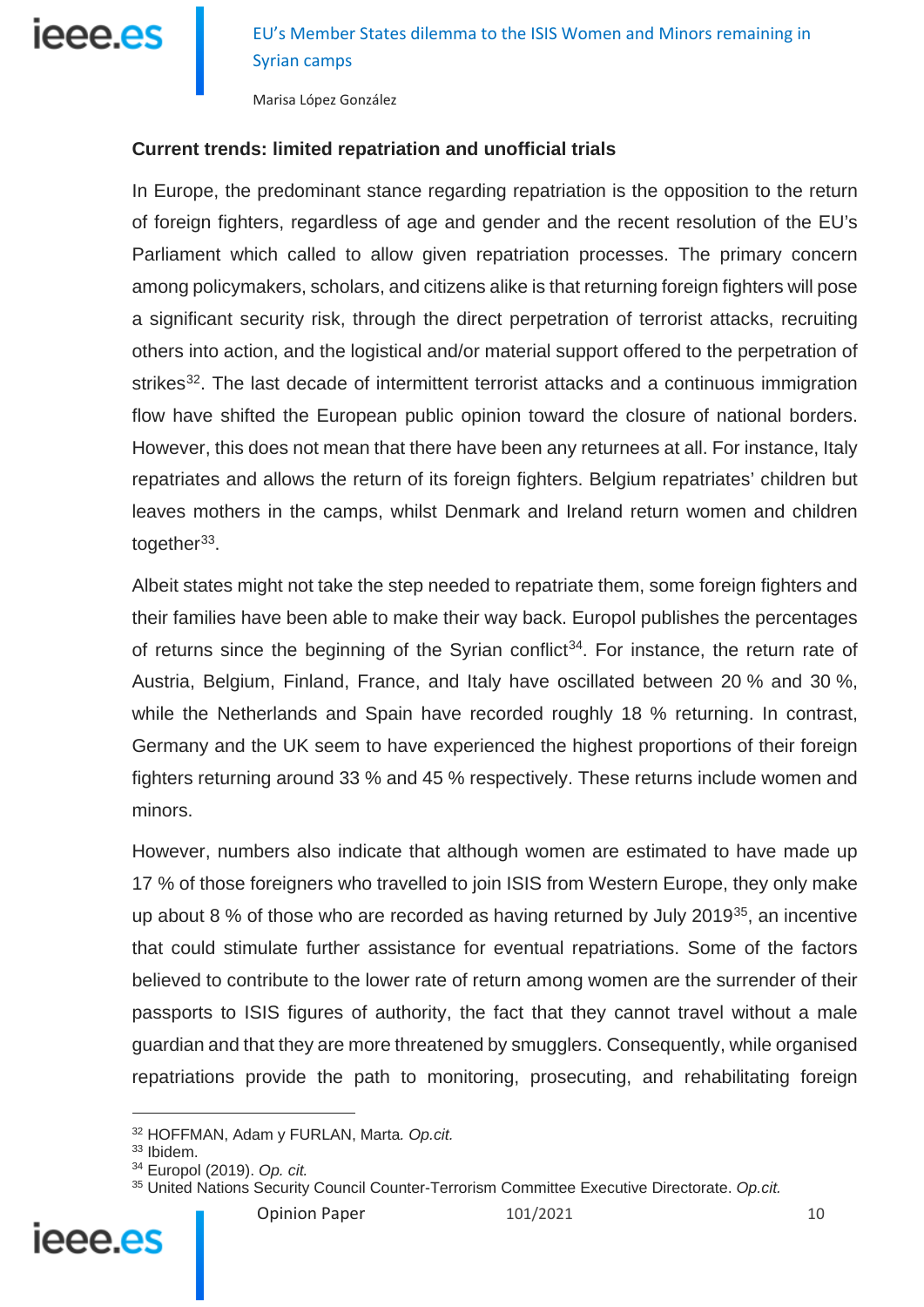

Marisa López González

#### **Current trends: limited repatriation and unofficial trials**

In Europe, the predominant stance regarding repatriation is the opposition to the return of foreign fighters, regardless of age and gender and the recent resolution of the EU's Parliament which called to allow given repatriation processes. The primary concern among policymakers, scholars, and citizens alike is that returning foreign fighters will pose a significant security risk, through the direct perpetration of terrorist attacks, recruiting others into action, and the logistical and/or material support offered to the perpetration of strikes<sup>[32](#page-9-0)</sup>. The last decade of intermittent terrorist attacks and a continuous immigration flow have shifted the European public opinion toward the closure of national borders. However, this does not mean that there have been any returnees at all. For instance, Italy repatriates and allows the return of its foreign fighters. Belgium repatriates' children but leaves mothers in the camps, whilst Denmark and Ireland return women and children together $33$ .

Albeit states might not take the step needed to repatriate them, some foreign fighters and their families have been able to make their way back. Europol publishes the percentages of returns since the beginning of the Syrian conflict<sup>[34](#page-9-2)</sup>. For instance, the return rate of Austria, Belgium, Finland, France, and Italy have oscillated between 20 % and 30 %, while the Netherlands and Spain have recorded roughly 18 % returning. In contrast, Germany and the UK seem to have experienced the highest proportions of their foreign fighters returning around 33 % and 45 % respectively. These returns include women and minors.

However, numbers also indicate that although women are estimated to have made up 17 % of those foreigners who travelled to join ISIS from Western Europe, they only make up about 8 % of those who are recorded as having returned by July 2019 $35$ , an incentive that could stimulate further assistance for eventual repatriations. Some of the factors believed to contribute to the lower rate of return among women are the surrender of their passports to ISIS figures of authority, the fact that they cannot travel without a male guardian and that they are more threatened by smugglers. Consequently, while organised repatriations provide the path to monitoring, prosecuting, and rehabilitating foreign

 $\overline{a}$ 

<span id="page-9-3"></span><span id="page-9-2"></span><span id="page-9-1"></span><span id="page-9-0"></span>ieee es

<sup>32</sup> HOFFMAN, Adam y FURLAN, Marta*. Op.cit.*

<sup>33</sup> Ibidem.

<sup>34</sup> Europol (2019). *Op. cit.*

<sup>35</sup> United Nations Security Council Counter-Terrorism Committee Executive Directorate. *Op.cit.*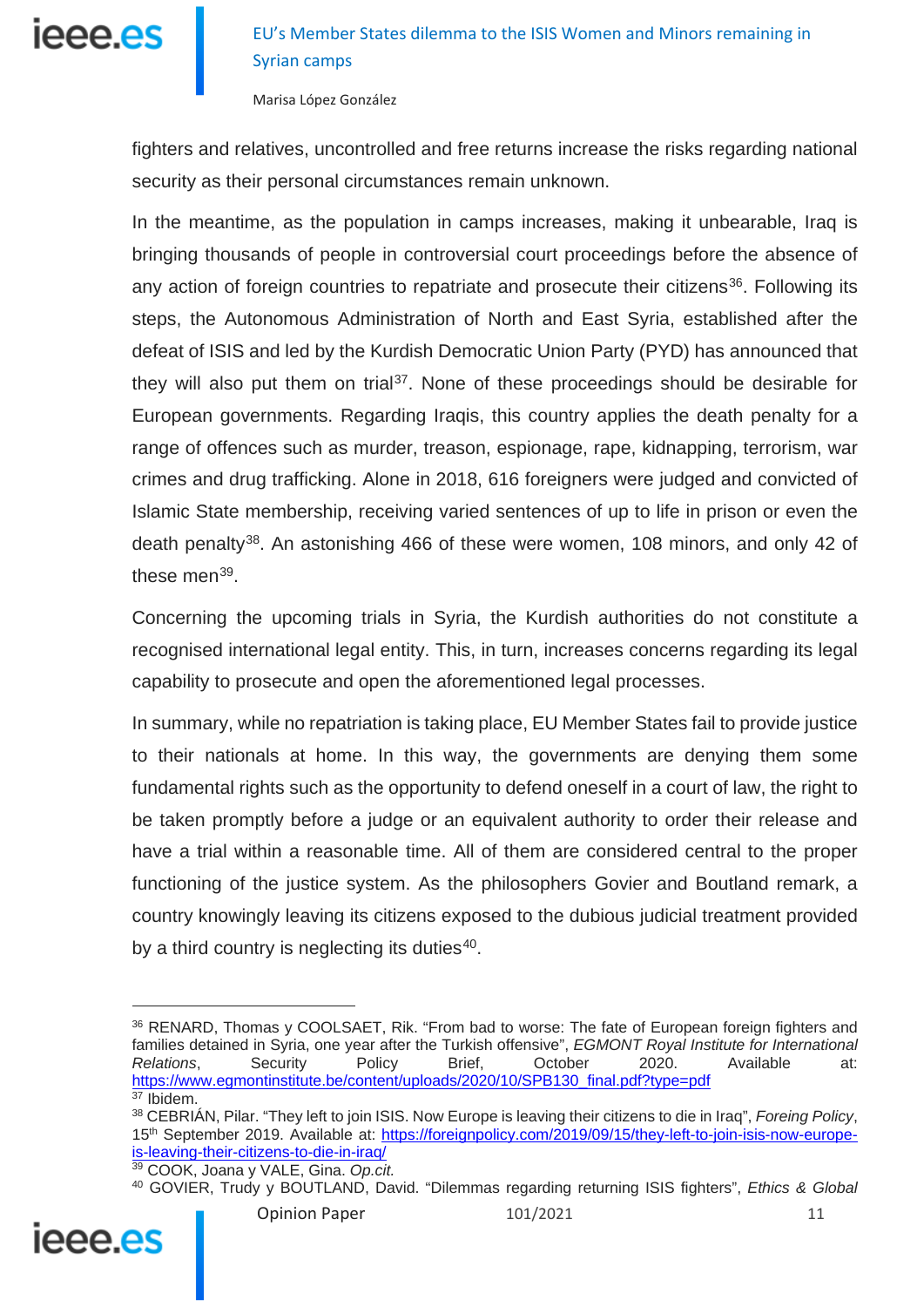

Marisa López González

fighters and relatives, uncontrolled and free returns increase the risks regarding national security as their personal circumstances remain unknown.

In the meantime, as the population in camps increases, making it unbearable, Iraq is bringing thousands of people in controversial court proceedings before the absence of any action of foreign countries to repatriate and prosecute their citizens<sup>36</sup>. Following its steps, the Autonomous Administration of North and East Syria, established after the defeat of ISIS and led by the Kurdish Democratic Union Party (PYD) has announced that they will also put them on trial<sup>[37](#page-10-1)</sup>. None of these proceedings should be desirable for European governments. Regarding Iraqis, this country applies the death penalty for a range of offences such as murder, treason, espionage, rape, kidnapping, terrorism, war crimes and drug trafficking. Alone in 2018, 616 foreigners were judged and convicted of Islamic State membership, receiving varied sentences of up to life in prison or even the death penalty<sup>[38](#page-10-2)</sup>. An astonishing 466 of these were women, 108 minors, and only 42 of these men $^{39}$  $^{39}$  $^{39}$ .

Concerning the upcoming trials in Syria, the Kurdish authorities do not constitute a recognised international legal entity. This, in turn, increases concerns regarding its legal capability to prosecute and open the aforementioned legal processes.

In summary, while no repatriation is taking place, EU Member States fail to provide justice to their nationals at home. In this way, the governments are denying them some fundamental rights such as the opportunity to defend oneself in a court of law, the right to be taken promptly before a judge or an equivalent authority to order their release and have a trial within a reasonable time. All of them are considered central to the proper functioning of the justice system. As the philosophers Govier and Boutland remark, a country knowingly leaving its citizens exposed to the dubious judicial treatment provided by a third country is neglecting its duties $40$ .

<span id="page-10-4"></span><span id="page-10-3"></span><span id="page-10-2"></span><span id="page-10-1"></span><sup>40</sup> GOVIER, Trudy y BOUTLAND, David. "Dilemmas regarding returning ISIS fighters", *Ethics & Global* 



<span id="page-10-0"></span><sup>36</sup> RENARD, Thomas y COOLSAET, Rik. "From bad to worse: The fate of European foreign fighters and families detained in Syria, one year after the Turkish offensive", *EGMONT Royal Institute for International Relations*, Security Policy Brief, October 2020. Available at: [https://www.egmontinstitute.be/content/uploads/2020/10/SPB130\\_final.pdf?type=pdf](https://www.egmontinstitute.be/content/uploads/2020/10/SPB130_final.pdf?type=pdf)

 $37$  Ibidem

<sup>38</sup> CEBRIÁN, Pilar. "They left to join ISIS. Now Europe is leaving their citizens to die in Iraq", *Foreing Policy*, 15th September 2019. Available at: [https://foreignpolicy.com/2019/09/15/they-left-to-join-isis-now-europe](https://foreignpolicy.com/2019/09/15/they-left-to-join-isis-now-europe-is-leaving-their-citizens-to-die-in-iraq/)[is-leaving-their-citizens-to-die-in-iraq/](https://foreignpolicy.com/2019/09/15/they-left-to-join-isis-now-europe-is-leaving-their-citizens-to-die-in-iraq/)

<sup>39</sup> COOK, Joana y VALE, Gina. *Op.cit.*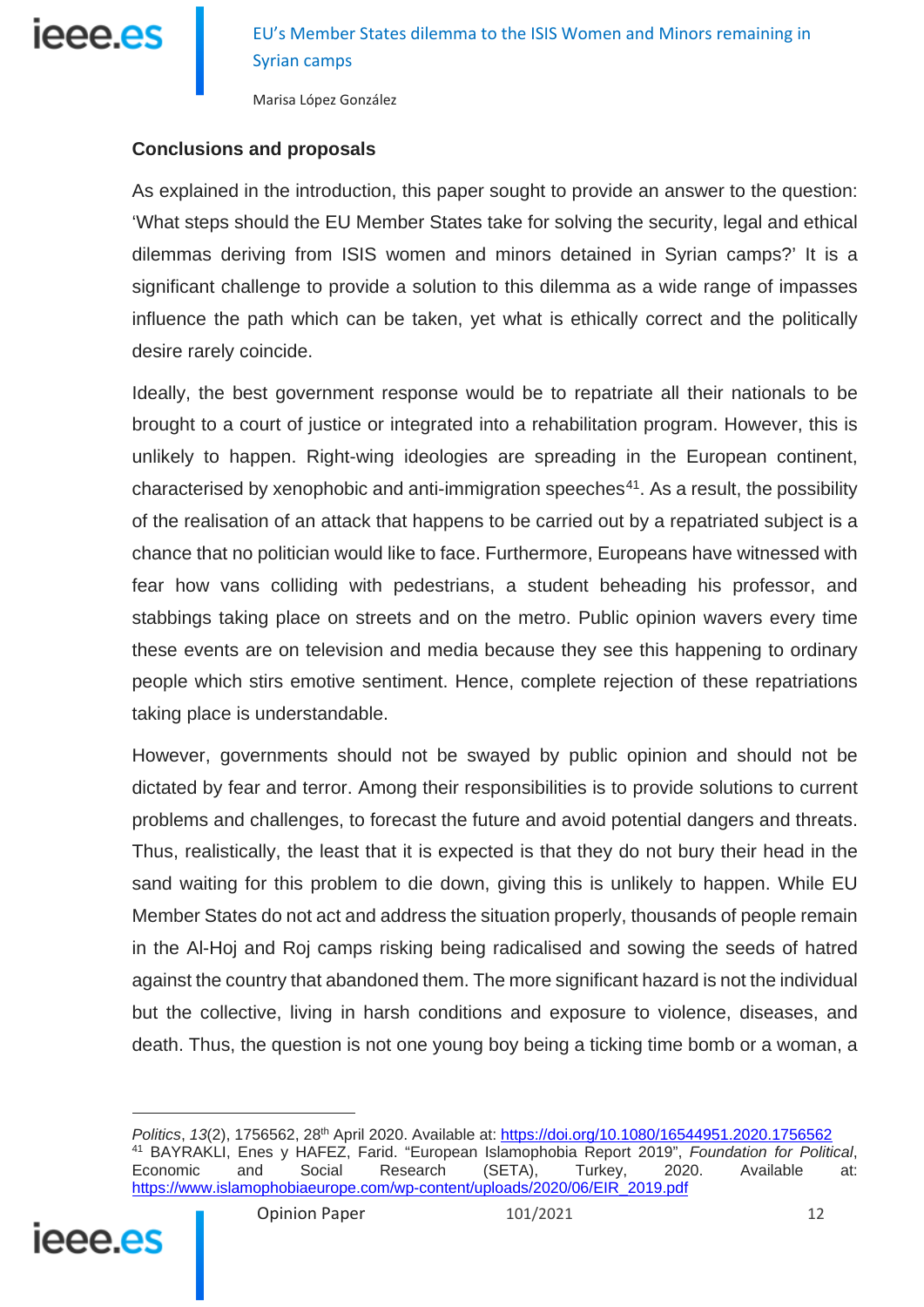

#### **Conclusions and proposals**

As explained in the introduction, this paper sought to provide an answer to the question: 'What steps should the EU Member States take for solving the security, legal and ethical dilemmas deriving from ISIS women and minors detained in Syrian camps?' It is a significant challenge to provide a solution to this dilemma as a wide range of impasses influence the path which can be taken, yet what is ethically correct and the politically desire rarely coincide.

Ideally, the best government response would be to repatriate all their nationals to be brought to a court of justice or integrated into a rehabilitation program. However, this is unlikely to happen. Right-wing ideologies are spreading in the European continent, characterised by xenophobic and anti-immigration speeches<sup>[41](#page-11-0)</sup>. As a result, the possibility of the realisation of an attack that happens to be carried out by a repatriated subject is a chance that no politician would like to face. Furthermore, Europeans have witnessed with fear how vans colliding with pedestrians, a student beheading his professor, and stabbings taking place on streets and on the metro. Public opinion wavers every time these events are on television and media because they see this happening to ordinary people which stirs emotive sentiment. Hence, complete rejection of these repatriations taking place is understandable.

However, governments should not be swayed by public opinion and should not be dictated by fear and terror. Among their responsibilities is to provide solutions to current problems and challenges, to forecast the future and avoid potential dangers and threats. Thus, realistically, the least that it is expected is that they do not bury their head in the sand waiting for this problem to die down, giving this is unlikely to happen. While EU Member States do not act and address the situation properly, thousands of people remain in the Al-Hoj and Roj camps risking being radicalised and sowing the seeds of hatred against the country that abandoned them. The more significant hazard is not the individual but the collective, living in harsh conditions and exposure to violence, diseases, and death. Thus, the question is not one young boy being a ticking time bomb or a woman, a

<span id="page-11-0"></span>*Politics*, *13*(2), 1756562, 28th April 2020. Available at: <https://doi.org/10.1080/16544951.2020.1756562> <sup>41</sup> BAYRAKLI, Enes y HAFEZ, Farid. "European Islamophobia Report 2019", *Foundation for Political*, Economic and Social Research (SETA), Turkey, 2020. Available at: [https://www.islamophobiaeurope.com/wp-content/uploads/2020/06/EIR\\_2019.pdf](https://www.islamophobiaeurope.com/wp-content/uploads/2020/06/EIR_2019.pdf)